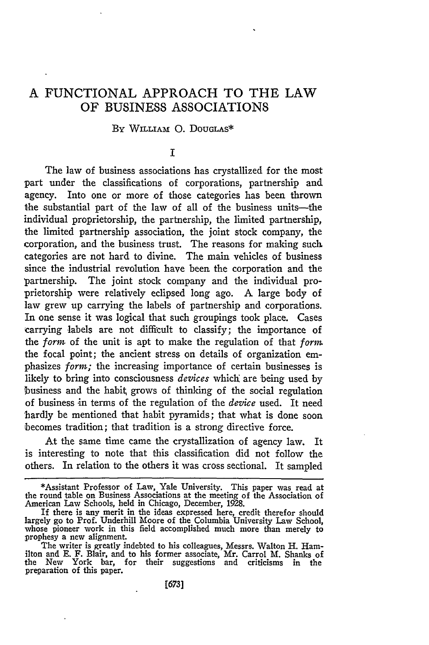# A FUNCTIONAL APPROACH TO THE LAW OF BUSINESS ASSOCIATIONS

### By WILLIAM **0.** DOUGLAS\*

## **I**

The law of business associations has crystallized for the most part under the classifications of corporations, partnership and agency. Into one or more of those categories has been thrown the substantial part of the law of all of the business units-the individual proprietorship, the partnership, the limited partnership, the limited partnership association, the joint stock company, the corporation, and the business trust. The reasons for making such categories are not hard to divine. The main vehicles of business since the industrial revolution have been the corporation and the partnership. The joint stock company and the individual proprietorship were relatively eclipsed long ago. A large body of law grew up carrying the labels of partnership and corporations. In one sense it was logical that such groupings took place. Cases carrying labels are not difficult to classify; the importance of the forn of the unit is apt to make the regulation of that *form* the focal point; the ancient stress on details of organization emphasizes form; the increasing importance of certain businesses is likely to bring into consciousness *devices* which are being used by business and the habit grows of thinking of the social regulation of business in terms of the regulation of the *device* used. It need -hardly be mentioned that habit pyramids; that what is done soon becomes tradition; that tradition is a strong directive force.

At the same time came the crystallization of agency law. It is interesting to note that this classification did not follow the others. In relation to the others it was cross sectional. It sampled

<sup>\*</sup>Assistant Professor of Law, Yale University. This paper was read at the round table on Business Associations at the meeting of the Association of American Law Schools, held in Chicago, December, 1928.

If there is any merit in the ideas expressed here, credit therefor should largely go to Prof. Underhill Moore of the Columbia University Law School, whose pioneer work in this field accomplished much more than merely to prophesy a new alignment.

The writer is greatly indebted to his colleagues, Messrs. Walton H. Ham-ilton and **E.** F. Blair, and to his former associate, Mr. Carrol M. Shanks of the New York bar, for their suggestions and criticisms in the preparation of this paper.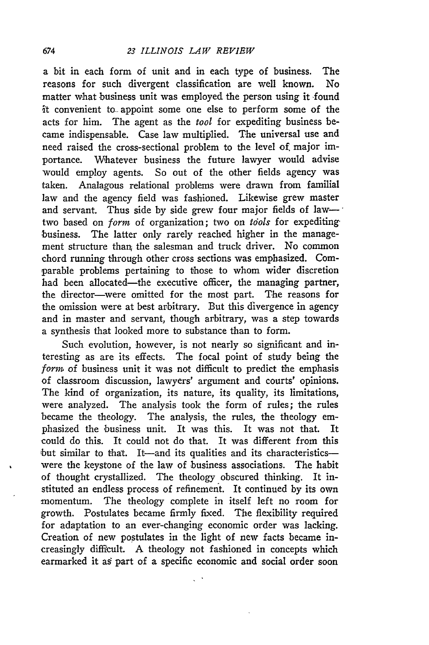a bit in each form of unit and in each type of business. The reasons for such divergent classification are well known. No matter what business unit was employed the person using it -found it convenient to- appoint some one else to perform some of the acts for him. The agent as the *tool* for expediting business became indispensable. Case law multiplied. The universal use and need raised the cross-sectional problem to the level of major importance. Whatever business the future lawyer would advise would employ agents. So out of the other fields agency was taken. Analagous relational problems were drawn from familial law and the agency field was fashioned. Likewise grew master and servant. Thus side by side grew four major fields of lawtwo based on *form* of organization; two on *tools* for expediting business. The latter only rarely reached higher in the management structure thaq the salesman and truck driver. No common chord running through other cross sections was emphasized. Comparable problems pertaining to those to whom wider discretion had been allocated—the executive officer, the managing partner, the director-were omitted for the most part. The reasons for the omission were at best arbitrary. But this divergence in agency and in master and servant, though arbitrary, was a step towards a synthesis that looked more to substance than to form.

Such evolution, however, is not nearly so significant and interesting as are its effects. The focal point of study being the *form* of business unit it was not difficult to predict the emphasis of classroom discussion, lawyers' argument and courts' opinions. The kind of organization, its nature, its quality, its limitations, were analyzed. The analysis took the form of rules; the rules became the theology. The analysis, the rules, the theology emphasized the business unit. It was this. It was not that. It could do this. It could not do that. It was different from this but similar to that. It-and its qualities and its characteristicswere the keystone of the law of business associations. The habit of thought crystallized. The theology obscured thinking. It instituted an endless process of refinement. It continued **by** its own momentum. The theology complete in itself left no room for growth. Postulates became firmly fixed. The flexibility required for adaptation to an ever-changing economic order was lacking. Creation of new postulates in the light of new facts became increasingly difficult. A theology not fashioned in concepts which earmarked it a§ part of a specific economic and social order soon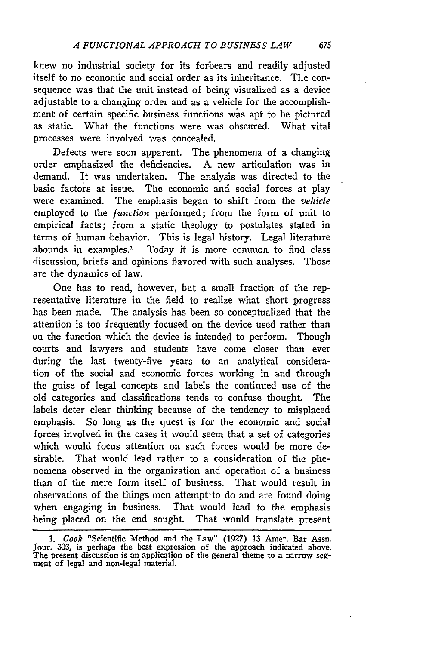knew no industrial society for its forbears and readily adjusted itself to no economic and social order as its inheritance. The consequence was that the unit instead of being visualized as a device adjustable to a changing order and as a vehicle for the accomplishment of certain specific business functions was apt to be pictured as static. What the functions were was obscured. What vital processes were involved was concealed.

Defects were soon apparent. The phenomena of a changing order emphasized the deficiencies. A new articulation was in demand. It was undertaken. The analysis was directed to the basic factors at issue. The economic and social forces at play were examined. The emphasis began to shift from the *vehicle* employed to the *function* performed; from the form of unit to empirical facts; from a static theology to postulates stated in terms of human behavior. This is legal history. Legal literature abounds in examples.' Today it is more common to find class discussion, briefs and opinions flavored with such analyses. Those are the dynamics of law.

One has to read, however, but a small fraction of the representative literature in the field to realize what short progress has been made. The analysis has been so conceptualized that the attention is too frequently focused on the device used rather than on the function which the device is intended to perform. Though courts and lawyers and students have come closer than ever during the last twenty-five years to an analytical consideration of the social and economic forces working in and through the guise of legal concepts and labels the continued use of the old categories and classifications tends to confuse thought. The labels deter clear thinking because of the tendency to misplaced emphasis. So long as the quest is for the economic and social forces involved in the cases it would seem that a set of categories which would focus attention on such forces would be more desirable. That would lead rather to a consideration of the phenomena observed in the organization and operation of a business than of the mere form itself of business. That would result in observations of the things men attempt'to do and are found doing when engaging in business. That would lead to the emphasis being placed on the end sought. That would translate present

675

*<sup>1.</sup> Cook* "Scientific Method and the Law" (1927) **13** Amer. Bar Assn. Jour. 303, is perhaps the best expression of the approach indicated above. The present discussion is an application of the general theme to a narrow seg-ment of legal and non-legal material.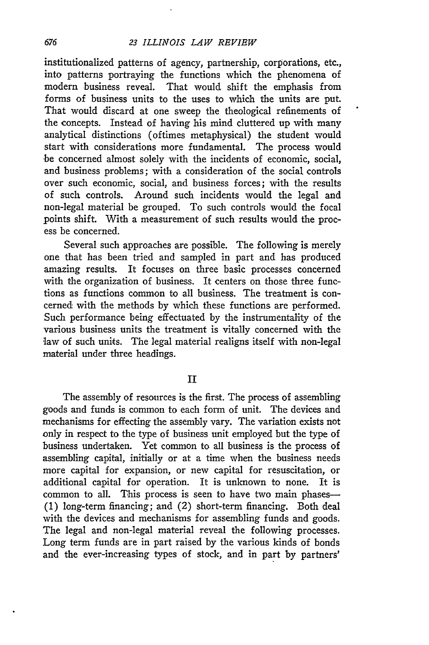### *23 ILLINOIS LAW REVIEW*

institutionalized patterns of agency, partnership, corporations, etc., into patterns portraying the functions which the phenomena of modern business reveal. That would shift the emphasis from forms of business units to the uses to which the units are put. That would discard at one sweep the theological refinements of the concepts. Instead of having his mind cluttered up with many analytical distinctions (oftimes metaphysical) the student would start with considerations more fundamental. The process would be concerned almost solely with the incidents of economic, social, and business problems; with a consideration of the social controls over such economic, social, and business forces; with the results of such controls. Around such incidents would the legal and non-legal material be grouped. To such controls would the focal points shift. With a measurement of such results would the process be concerned.

Several such approaches are possible. The following is merely one that has been tried and sampled in part and has produced amazing results. It focuses on three basic processes concerned with the organization of business. It centers on those three functions as functions common to all business. The treatment is concerned with the methods by which these functions are performed. Such performance being effectuated by the instrumentality of the various business units the treatment is vitally concerned with the law of such units. The legal material realigns itself with non-legal material under three headings.

II

The assembly of resources is the first. The process of assembling goods and funds is common to each form of unit. The devices and mechanisms for effecting the assembly vary. The variation exists not only in respect to the type of business unit employed but the type of business undertaken. Yet common to all business is the process of assembling capital, initially or at a time when the business needs more capital for expansion, or new capital for resuscitation, or additional capital for operation. It is unknown to none. It is common to all. This process is seen to have two main phases-**(1)** long-term financing; and (2) short-term financing. Both deal with the devices and mechanisms for assembling funds and goods. The legal and non-legal material reveal the following processes. Long term funds are in part raised by the various kinds of bonds and the ever-increasing types of stock, and in part by partners'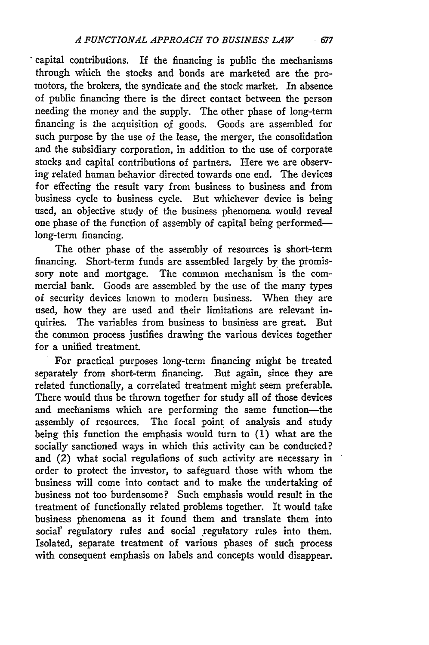capital contributions. If the financing is public the mechanisms through which the stocks and bonds are marketed are the promotors, the brokers, the syndicate and the stock market. In absence of public financing there is the direct contact between the person needing the money and the supply. The other phase of long-term financing is the acquisition of goods. Goods are assembled for such purpose by the use of the lease, the merger, the consolidation and the subsidiary corporation, in addition to the use of corporate stocks and capital contributions of partners. Here we are observing related human behavior directed towards one end. The devices for effecting the result vary from business to business and from business cycle to business cycle. But whichever device is being used, an objective study of the business phenomena would reveal one phase of the function of assembly of capital being performedlong-term financing.

The other phase of the assembly of resources is short-term financing. Short-term funds are assembled largely by the promissory note and mortgage. The common mechanism is the commercial bank. Goods are assembled by the use of the many types of security devices known to modern business. When they are used, how they are used and their limitations are relevant inquiries. The variables from business to business are great. But the common process justifies drawing the various devices together for a unified treatment.

For practical purposes long-term financing might be treated separately from short-term financing. But again, since they are related functionally, a correlated treatment might seem preferable. There would thus be thrown together for study all of those devices and mechanisms which are performing the same function-the assembly of resources. The focal point of analysis and study being this function the emphasis would turn to (1) what are the socially sanctioned ways in which this activity can be conducted? and (2) what social regulations of such activity are necessary in order to protect the investor, to safeguard those with whom the business will come into contact and to make the undertaking of business not too burdensome? Such emphasis would result in the treatment of functionally related problems together. It would take business phenomena as it found them and translate them into social' regulatory rules and social regulatory rules into them. Isolated, separate treatment of various phases of such process with consequent emphasis on labels and concepts would disappear.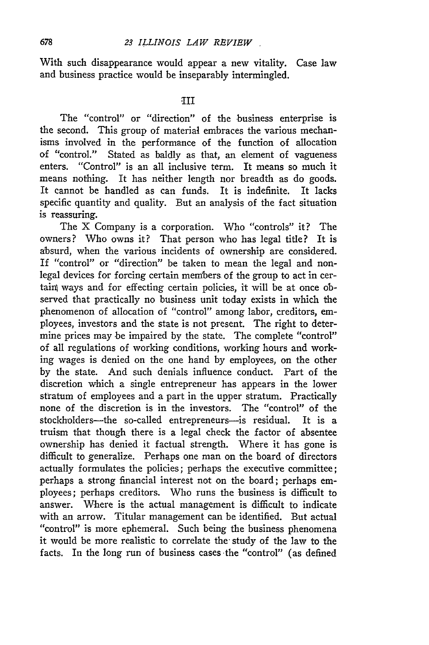With such disappearance would appear a new vitality. Case law and business practice would be inseparably intermingled.

#### $\Pi$

The "control" or "direction" of the business enterprise is the second. This group of material embraces the various mechanisms involved in the performance of the function of allocation of "control." Stated as baldly as that, an element of vagueness enters. "Control" is an all inclusive term. It means so much it means nothing. It has neither length nor breadth as do goods. It cannot be handled as can funds. It is indefinite. It lacks specific quantity and quality. But an analysis of the fact situation is reassuring.

The X Company is a corporation. Who "controls" it? The owners? Who owns it? That person who has legal title? It is absurd, when the various incidents of ownership are considered. If "control" or "direction" be taken to mean the legal and nonlegal devices for forcing certain members of the group to act in certain ways and for effecting certain policies, it will be at once observed that practically no business unit today exists in which the phenomenon of allocation of "control" among labor, creditors, employees, investors and the state is not present. The right to determine prices may be impaired by the state. The complete "control" of all regulations of working conditions, working hours and working wages is denied on the one hand by employees, on the other by the state. And such denials influence conduct. Part of the discretion which a single entrepreneur has appears in the lower stratum of employees and a part in the upper stratum. Practically none of the discretion is in the investors. The "control" of the stockholders-the so-called entrepreneurs-is residual. It is a truism that though there is a legal check the factor of absentee ownership has denied it factual strength. Where it has gone is difficult to generalize. Perhaps one man on the board of directors actually formulates the policies; perhaps the executive committee; perhaps a strong financial interest not on the board; perhaps employees; perhaps creditors. Who runs the business is difficult to answer. Where is the actual management is difficult to indicate with an arrow. Titular management can be identified. But actual "control" is more ephemeral. Such being the business phenomena it would be more realistic to correlate the study of the law to the facts. In the long run of business cases the "control" (as defined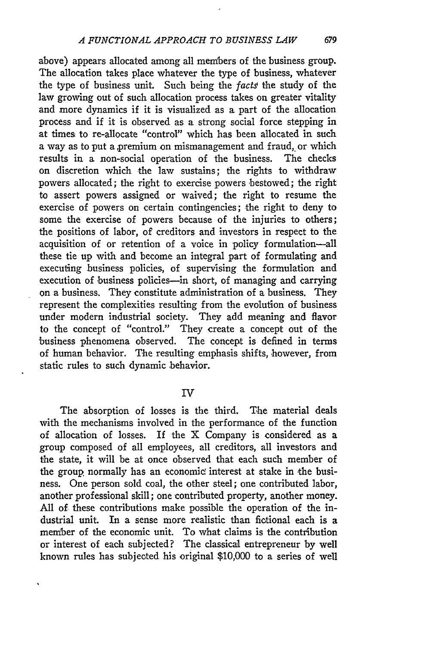above) appears allocated among all members of the business group. The allocation takes place whatever the type of business, whatever the type of business unit. Such being the facts the study of the law growing out of such allocation process takes on greater vitality and more dynamics if it is visualized as a part of the allocation process and if it is observed as a strong social force stepping in at times to re-allocate "control" which has been allocated in such a way as to put a premium on mismanagement and fraud, or which results in a non-social operation of the business. The checks on discretion which the law sustains; the rights to withdraw powers allocated; the right to exercise powers bestowed; the right to assert powers assigned or waived; the right to resume the exercise of powers on certain contingencies; the right to deny to some the exercise of powers because of the injuries to others; the positions of labor, of creditors and investors in respect to the acquisition of or retention of a voice in policy formulation-all these tie up with and become an integral part of formulating and executing business policies, of supervising the formulation and execution of business policies-in short, of managing and carrying on a business. They constitute administration of a business. They represent the complexities resulting from the evolution of business under modern industrial society. They add meaning and flavor to the concept of "control." They create a concept out of the business phenomena observed. The concept is defined in terms of human behavior. The resulting emphasis shifts, however, from static rules to such dynamic behavior.

IV

The absorption of losses is the third. The material deals with the mechanisms involved in the performance of the function of allocation of losses. If the X Company is considered as a group composed of all employees, all creditors, all investors and the state, it will be at once observed that each such member of the group normally has an economic interest at stake in the business. One person sold coal, the other steel; one contributed labor, another professional skill; one contributed property, another money. All of these contributions make possible the operation of the industrial unit. In a sense more realistic than fictional each is a member of the economic unit. To what claims is the contribution or interest of each subjected? The classical entrepreneur by well known rules has subjected his original \$10,000 to a series of well

679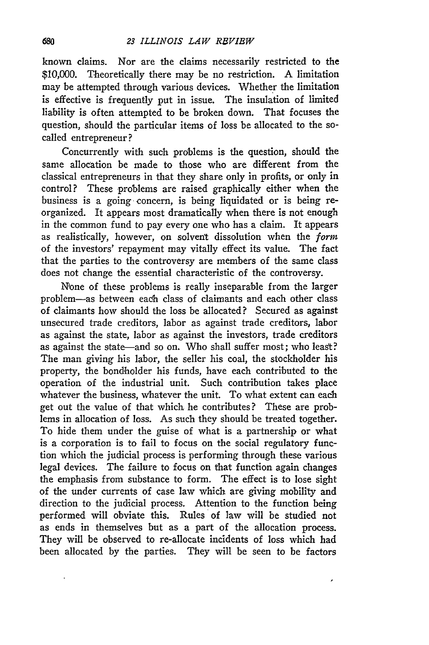known claims. Nor are the claims necessarily restricted to the \$10,000. Theoretically there may be no restriction. A limitation may be attempted through various devices. Whether the limitation is effective is frequently put in issue. The insulation of limited liability is often attempted to be broken down. That focuses the question, should the particular items of loss be allocated to the socalled entrepreneur?

Concurrently with such problems is the question, should the same allocation be made to those who are different from the classical entrepreneurs in that they share only in profits, or only in control? These problems are raised graphically either when the business is a going concern, is being liquidated or is being reorganized. It appears most dramatically when there is not enough in the common fund to pay every one who has a claim. It appears as realistically, however, on solvent dissolution when the *form* of the investors' repayment may vitally effect its value. The fact that the parties to the controversy are members of the same class does not change the essential characteristic of the controversy.

None of these problems is really inseparable from the larger problem-as between each class of claimants and each other class of claimants how should the loss be allocated? Secured as against unsecured trade creditors, labor as against trade creditors, labor as against the state, labor as against the investors, trade creditors as against the state-and so on. Who shall suffer most; who least? The man giving his labor, the seller his coal, the stockholder his property, the bondholder his funds, have each contributed to the operation of the industrial unit. Such contribution takes place whatever the business, Whatever the unit. To what extent can each get out the value of that which he contributes? These are problems in allocation of loss. As such they should be treated together. To hide them under the guise of what is a partnership or what is a corporation is to fail to focus on the social regulatory function which the judicial process is performing through these various legal devices. The failure to focus on that function again changes the emphasis from substance to form. The effect is to lose sight of the under currents of case law which are giving mobility and direction to the judicial process. Attention to the function being performed will obviate this. Rules of law will be studied not as ends in themselves but as a part of the allocation process. They will be observed to re-allocate incidents of loss which had been allocated **by** the parties. They will be seen to be factors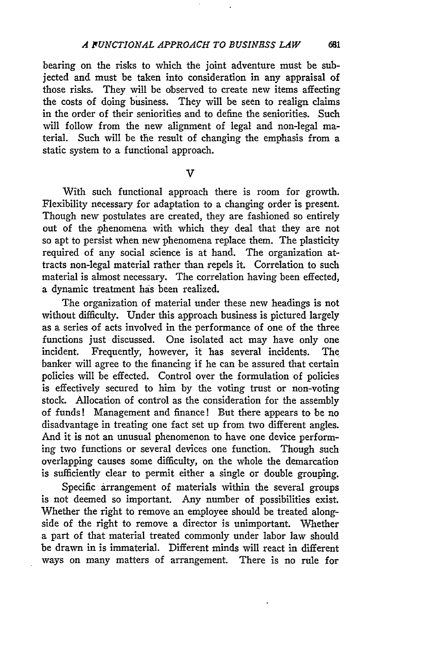bearing on the risks to which the joint adventure must be subjected and must be taken into consideration in any appraisal of those risks. They will be observed to create new items affecting the costs of doing business. They will be seen to realign claims in the order of their seniorities and to define the seniorities. Such will follow from the new alignment of legal and non-legal material. Such will be the result of changing the emphasis from a static system to a functional approach.

V

With such functional approach there is room for growth. Flexibility necessary for adaptation to a changing order is present. Though new postulates are created, they are fashioned so entirely out of the phenomena with which they deal that they are not so apt to persist when new phenomena replace them. The plasticity required of any social science is at hand. The organization attracts non-legal material rather than repels it. Correlation to such material is almost necessary. The correlation having been effected, a dynamic treatment has been realized.

The organization of material under these new headings is not without difficulty. Under this approach business is pictured largely as a series of acts involved in the performance of one of the three functions just discussed. One isolated act may have only one incident. Frequently, however, it has several incidents. The banker will agree to the financing if he can be assured that certain policies will be effected. Control over the formulation of policies is effectively secured to him by the voting trust or non-voting stock. Allocation of control as the consideration for the assembly of funds! Management and finance! But there appears to be no disadvantage in treating one fact set up from two different angles. And it is not an unusual phenomenon to have one device performing two functions or several devices one function. Though such overlapping causes some difficulty, on the whole the demarcation is sufficiently clear to permit either a single or double grouping.

Specific arrangement of materials within the several groups is not deemed so important. Any number of possibilities exist. Whether the right to remove an employee should be treated alongside of the right to remove a director is unimportant. Whether a part of that material treated commonly under labor law should be drawn in is immaterial. Different minds will react in different ways on many matters of arrangement. There is no rule for

681